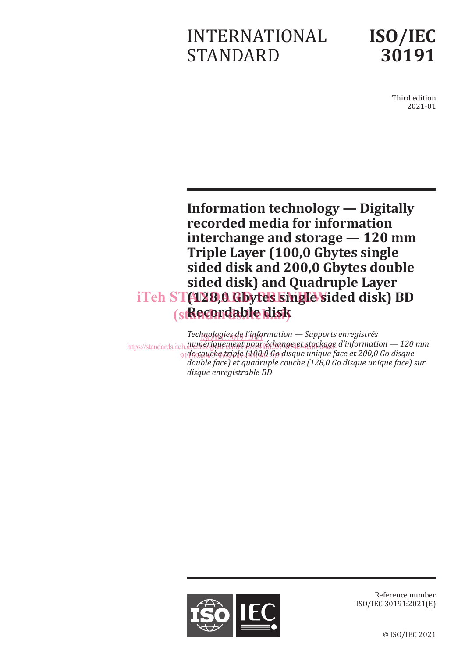# INTERNATIONAL STANDARD



Third edition 2021-01

**Information technology — Digitally recorded media for information interchange and storage — 120 mm Triple Layer (100,0 Gbytes single sided disk and 200,0 Gbytes double sided disk) and Quadruple Layer**  iTeh ST(128,0 Gbytes single sided disk) BD (st**Recordable disk** 

*Technologies de l'information* — Supports enregistrés https://standards.iteh.*a*jumériquement.pour échange et stockage d'information — 120 mm 91de c<u>ouche triple (100,0 Go</u> disque unique face et 200,0 Go disque *double face) et quadruple couche (128,0 Go disque unique face) sur disque enregistrable BD*



Reference number ISO/IEC 30191:2021(E)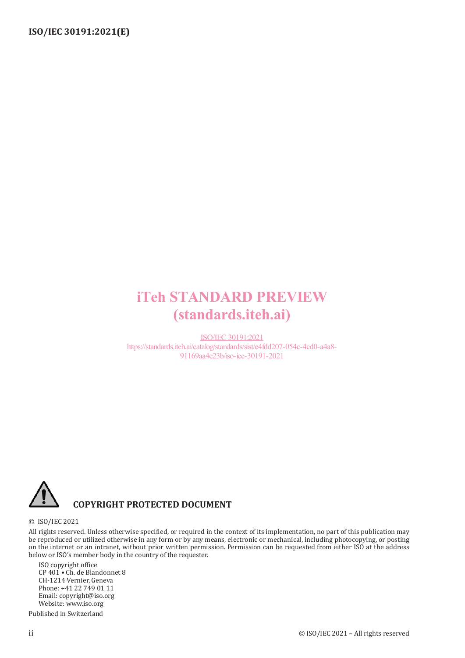## iTeh STANDARD PREVIEW (standards.iteh.ai)

ISO/IEC 30191:2021 https://standards.iteh.ai/catalog/standards/sist/e4fdd207-054c-4cd0-a4a8- 91169aa4e23b/iso-iec-30191-2021



#### **COPYRIGHT PROTECTED DOCUMENT**

#### © ISO/IEC 2021

All rights reserved. Unless otherwise specified, or required in the context of its implementation, no part of this publication may be reproduced or utilized otherwise in any form or by any means, electronic or mechanical, including photocopying, or posting on the internet or an intranet, without prior written permission. Permission can be requested from either ISO at the address below or ISO's member body in the country of the requester.

ISO copyright office CP 401 • Ch. de Blandonnet 8 CH-1214 Vernier, Geneva Phone: +41 22 749 01 11 Email: copyright@iso.org Website: www.iso.org

Published in Switzerland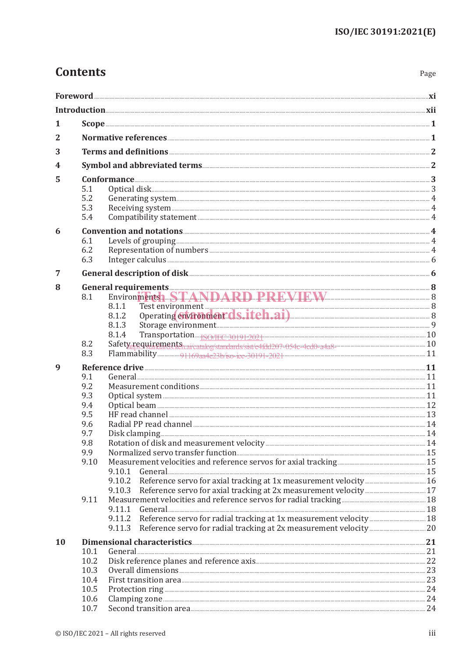| I<br>×<br>۰, |
|--------------|
|--------------|

| 1         |              |                                                                                                                                                                                                                                |  |  |  |
|-----------|--------------|--------------------------------------------------------------------------------------------------------------------------------------------------------------------------------------------------------------------------------|--|--|--|
| 2         |              |                                                                                                                                                                                                                                |  |  |  |
|           |              |                                                                                                                                                                                                                                |  |  |  |
| 3         |              |                                                                                                                                                                                                                                |  |  |  |
| 4         |              |                                                                                                                                                                                                                                |  |  |  |
| 5         |              |                                                                                                                                                                                                                                |  |  |  |
|           | 5.1<br>5.2   | Optical disk 3                                                                                                                                                                                                                 |  |  |  |
|           | 5.3          |                                                                                                                                                                                                                                |  |  |  |
|           | 5.4          |                                                                                                                                                                                                                                |  |  |  |
| 6         |              |                                                                                                                                                                                                                                |  |  |  |
|           | 6.1          |                                                                                                                                                                                                                                |  |  |  |
|           | 6.2          |                                                                                                                                                                                                                                |  |  |  |
|           | 6.3          |                                                                                                                                                                                                                                |  |  |  |
| 7         |              | General description of disk 66 and 30 and 30 and 30 and 30 and 30 and 30 and 30 and 30 and 30 and 30 and 30 and 30 and 30 and 30 and 30 and 30 and 30 and 30 and 30 and 30 and 30 and 30 and 30 and 30 and 30 and 30 and 30 an |  |  |  |
| 8         |              |                                                                                                                                                                                                                                |  |  |  |
|           | 8.1          | Environmentsh STANDARD PREVIEW TEW                                                                                                                                                                                             |  |  |  |
|           |              | Test environment<br>8.1.1                                                                                                                                                                                                      |  |  |  |
|           |              | 8.1.2<br>8.1.3                                                                                                                                                                                                                 |  |  |  |
|           |              | 8.1.4                                                                                                                                                                                                                          |  |  |  |
|           | 8.2          |                                                                                                                                                                                                                                |  |  |  |
|           | 8.3          |                                                                                                                                                                                                                                |  |  |  |
| 9         |              |                                                                                                                                                                                                                                |  |  |  |
|           | 9.1          |                                                                                                                                                                                                                                |  |  |  |
|           | 9.2          |                                                                                                                                                                                                                                |  |  |  |
|           | 9.3<br>9.4   |                                                                                                                                                                                                                                |  |  |  |
|           | 9.5          |                                                                                                                                                                                                                                |  |  |  |
|           | 9.6          |                                                                                                                                                                                                                                |  |  |  |
|           | 9.7          |                                                                                                                                                                                                                                |  |  |  |
|           | 9.8          |                                                                                                                                                                                                                                |  |  |  |
|           | 9.9<br>9.10  |                                                                                                                                                                                                                                |  |  |  |
|           |              |                                                                                                                                                                                                                                |  |  |  |
|           |              |                                                                                                                                                                                                                                |  |  |  |
|           |              | 9.10.3                                                                                                                                                                                                                         |  |  |  |
|           | 9.11         |                                                                                                                                                                                                                                |  |  |  |
|           |              |                                                                                                                                                                                                                                |  |  |  |
|           |              | 9.11.3                                                                                                                                                                                                                         |  |  |  |
|           |              |                                                                                                                                                                                                                                |  |  |  |
| <b>10</b> | 10.1         |                                                                                                                                                                                                                                |  |  |  |
|           | 10.2         |                                                                                                                                                                                                                                |  |  |  |
|           | 10.3         |                                                                                                                                                                                                                                |  |  |  |
|           | 10.4         | First transition area <b><i>matterial</i></b> 23                                                                                                                                                                               |  |  |  |
|           | 10.5<br>10.6 | Protection ring 24                                                                                                                                                                                                             |  |  |  |
|           | 10.7         |                                                                                                                                                                                                                                |  |  |  |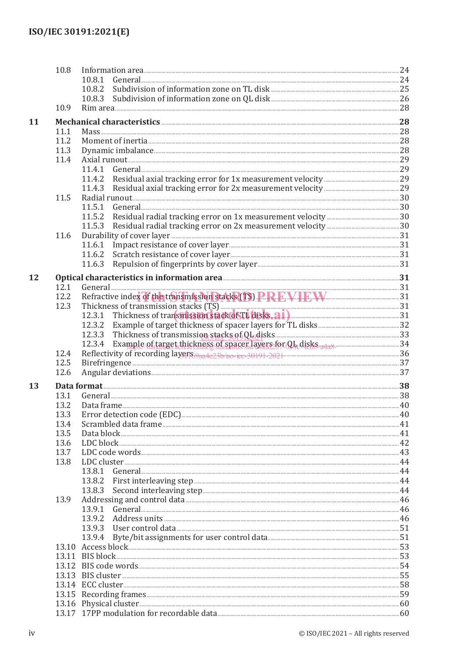|    | 10.8 |                                                                                         |  |
|----|------|-----------------------------------------------------------------------------------------|--|
|    |      | 10.8.1                                                                                  |  |
|    |      |                                                                                         |  |
|    |      |                                                                                         |  |
|    | 10.9 |                                                                                         |  |
| 11 |      | Mechanical characteristics 28 28                                                        |  |
|    | 11.1 |                                                                                         |  |
|    | 11.2 |                                                                                         |  |
|    | 11.3 |                                                                                         |  |
|    | 11.4 |                                                                                         |  |
|    |      |                                                                                         |  |
|    |      |                                                                                         |  |
|    |      |                                                                                         |  |
|    | 11.5 |                                                                                         |  |
|    |      |                                                                                         |  |
|    |      |                                                                                         |  |
|    |      |                                                                                         |  |
|    |      | 11.5.3                                                                                  |  |
|    | 11.6 |                                                                                         |  |
|    |      |                                                                                         |  |
|    |      |                                                                                         |  |
|    |      | 11.6.3                                                                                  |  |
| 12 |      | Optical characteristics in information area <b>Entitation</b> 21                        |  |
|    | 12.1 | General 21 31                                                                           |  |
|    | 12.2 | Refractive index of the transmission stacks (TS) PREVIEW EW                             |  |
|    | 12.3 | Thickness of transmission stacks (TS)                                                   |  |
|    |      | 12.3.1 Thickness of transitission stack of TL disks. a1)                                |  |
|    |      |                                                                                         |  |
|    |      |                                                                                         |  |
|    |      | 12.3.4 Example of target thickness of spacer layers for OL disks 3438 communications 34 |  |
|    | 12.4 |                                                                                         |  |
|    | 12.5 | Reflectivity of recording layers $9a\pi 4e23b$ /iso-iee-30191-2021                      |  |
|    |      |                                                                                         |  |
|    | 12.6 |                                                                                         |  |
| 13 |      |                                                                                         |  |
|    | 13.1 |                                                                                         |  |
|    | 13.2 |                                                                                         |  |
|    | 13.3 |                                                                                         |  |
|    | 13.4 |                                                                                         |  |
|    | 13.5 |                                                                                         |  |
|    | 13.6 |                                                                                         |  |
|    | 13.7 |                                                                                         |  |
|    | 13.8 |                                                                                         |  |
|    |      | 13.8.1                                                                                  |  |
|    |      | 13.8.2                                                                                  |  |
|    |      | 13.8.3                                                                                  |  |
|    | 13.9 |                                                                                         |  |
|    |      | 13.9.1                                                                                  |  |
|    |      | 13.9.2                                                                                  |  |
|    |      |                                                                                         |  |
|    |      | 13.9.3                                                                                  |  |
|    |      | 13.9.4                                                                                  |  |
|    |      |                                                                                         |  |
|    |      |                                                                                         |  |
|    |      |                                                                                         |  |
|    |      |                                                                                         |  |
|    |      |                                                                                         |  |
|    |      |                                                                                         |  |
|    |      |                                                                                         |  |
|    |      |                                                                                         |  |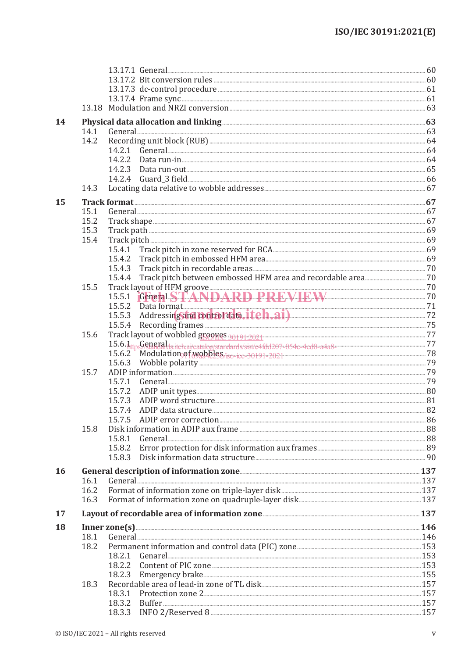|    |      | 13.17.2 Bit conversion rules <b>CONSTANDING CONSTRUCT</b>                                                                                                                                                                      |  |
|----|------|--------------------------------------------------------------------------------------------------------------------------------------------------------------------------------------------------------------------------------|--|
|    |      |                                                                                                                                                                                                                                |  |
|    |      |                                                                                                                                                                                                                                |  |
|    |      |                                                                                                                                                                                                                                |  |
|    |      |                                                                                                                                                                                                                                |  |
| 14 |      | Physical data allocation and linking <b>Exercise Allocation</b> 63                                                                                                                                                             |  |
|    | 14.1 |                                                                                                                                                                                                                                |  |
|    | 14.2 |                                                                                                                                                                                                                                |  |
|    |      | 14.2.1                                                                                                                                                                                                                         |  |
|    |      | 14.2.2                                                                                                                                                                                                                         |  |
|    |      | 14.2.3                                                                                                                                                                                                                         |  |
|    |      |                                                                                                                                                                                                                                |  |
|    | 14.3 |                                                                                                                                                                                                                                |  |
| 15 |      |                                                                                                                                                                                                                                |  |
|    | 15.1 |                                                                                                                                                                                                                                |  |
|    | 15.2 |                                                                                                                                                                                                                                |  |
|    | 15.3 |                                                                                                                                                                                                                                |  |
|    | 15.4 |                                                                                                                                                                                                                                |  |
|    |      |                                                                                                                                                                                                                                |  |
|    |      |                                                                                                                                                                                                                                |  |
|    |      | 15.4.3                                                                                                                                                                                                                         |  |
|    |      | 15.4.4                                                                                                                                                                                                                         |  |
|    | 15.5 |                                                                                                                                                                                                                                |  |
|    |      |                                                                                                                                                                                                                                |  |
|    |      |                                                                                                                                                                                                                                |  |
|    |      | Data format 71<br>Addressing and <b>tooltol data, it ch.ai</b> ) 72<br>15.5.2                                                                                                                                                  |  |
|    |      | 15.5.3<br>15.5.4                                                                                                                                                                                                               |  |
|    |      |                                                                                                                                                                                                                                |  |
|    | 15.6 |                                                                                                                                                                                                                                |  |
|    |      |                                                                                                                                                                                                                                |  |
|    |      | $1$ Modulation <sub>9</sub> of wobbles $r_{\text{iso}-\text{ice}-30191-2021}$<br>15.6.2                                                                                                                                        |  |
|    |      | 15.6.3                                                                                                                                                                                                                         |  |
|    | 15.7 |                                                                                                                                                                                                                                |  |
|    |      | General 29<br>15.7.1                                                                                                                                                                                                           |  |
|    |      | 15.7.2                                                                                                                                                                                                                         |  |
|    |      | 15.7.3                                                                                                                                                                                                                         |  |
|    |      | 15.7.4                                                                                                                                                                                                                         |  |
|    |      |                                                                                                                                                                                                                                |  |
|    | 15.8 | Disk information in ADIP aux frame <b>Example 2018</b> 2014 2015 2016                                                                                                                                                          |  |
|    |      | 15.8.1                                                                                                                                                                                                                         |  |
|    |      | 15.8.2                                                                                                                                                                                                                         |  |
|    |      | 15.8.3                                                                                                                                                                                                                         |  |
| 16 |      |                                                                                                                                                                                                                                |  |
|    | 16.1 | General 237 Constant Communication (Sensitive Constant Communication Communication Communication Communication Communication Communication Communication (Sensitive Communication Communication Communication Communication Co |  |
|    | 16.2 |                                                                                                                                                                                                                                |  |
|    | 16.3 |                                                                                                                                                                                                                                |  |
|    |      |                                                                                                                                                                                                                                |  |
| 17 |      | Layout of recordable area of information zone <b>Manual Equation</b> 2010 137                                                                                                                                                  |  |
| 18 |      |                                                                                                                                                                                                                                |  |
|    | 18.1 | General 246                                                                                                                                                                                                                    |  |
|    | 18.2 |                                                                                                                                                                                                                                |  |
|    |      | 18.2.1                                                                                                                                                                                                                         |  |
|    |      |                                                                                                                                                                                                                                |  |
|    |      | 18.2.3                                                                                                                                                                                                                         |  |
|    | 18.3 |                                                                                                                                                                                                                                |  |
|    |      | Protection zone 2. 2008 157<br>18.3.1                                                                                                                                                                                          |  |
|    |      | 18.3.2                                                                                                                                                                                                                         |  |
|    |      |                                                                                                                                                                                                                                |  |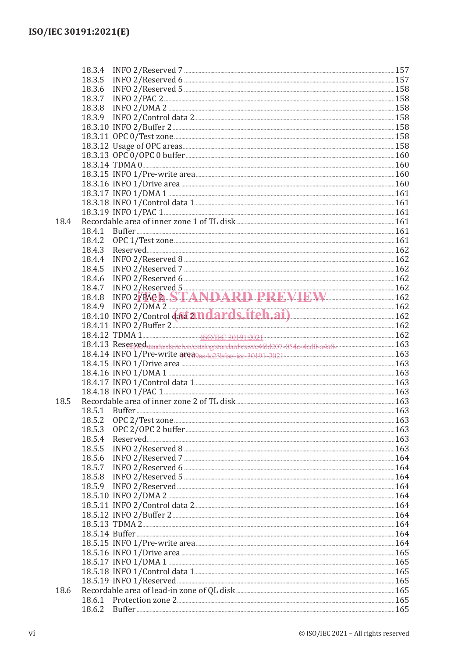|      | 18.3.4                                                                                                                                                                                                                         |  |
|------|--------------------------------------------------------------------------------------------------------------------------------------------------------------------------------------------------------------------------------|--|
|      | 18.3.5                                                                                                                                                                                                                         |  |
|      | 18.3.6                                                                                                                                                                                                                         |  |
|      | 18.3.7                                                                                                                                                                                                                         |  |
|      | 18.3.8                                                                                                                                                                                                                         |  |
|      | 18.3.9                                                                                                                                                                                                                         |  |
|      |                                                                                                                                                                                                                                |  |
|      |                                                                                                                                                                                                                                |  |
|      |                                                                                                                                                                                                                                |  |
|      |                                                                                                                                                                                                                                |  |
|      | 160 18.3.13 OPC 0/OPC 0 buffer 3.0 200 160 160                                                                                                                                                                                 |  |
|      |                                                                                                                                                                                                                                |  |
|      |                                                                                                                                                                                                                                |  |
|      | 160 mHz 160 mHz 160 mHz 160 mm in the creation of the content of the control of the content of the content of the content of the content of the content of the content of the content of the content of the content of the con |  |
|      | 161 18.3.17 INFO 1/DMA 1                                                                                                                                                                                                       |  |
|      |                                                                                                                                                                                                                                |  |
|      | 161 THE STATE OF THE STATE OF THE STATE OF THE STATE OF THE STATE OF THE STATE OF THE STATE OF THE STATE OF THE STATE OF THE STATE OF THE STATE OF THE STATE OF THE STATE OF THE STATE OF THE STATE OF THE STATE OF THE STATE  |  |
| 18.4 |                                                                                                                                                                                                                                |  |
|      | 18.4.1                                                                                                                                                                                                                         |  |
|      | 18.4.2                                                                                                                                                                                                                         |  |
|      | 18.4.3                                                                                                                                                                                                                         |  |
|      | 18.4.4                                                                                                                                                                                                                         |  |
|      | 18.4.5                                                                                                                                                                                                                         |  |
|      | 18.4.6                                                                                                                                                                                                                         |  |
|      | 18.4.7                                                                                                                                                                                                                         |  |
|      | INFO 2/Reserved 5<br>INFO 2/PAC 2. STANDARD PREVIEW 162<br>18.4.8                                                                                                                                                              |  |
|      | 18.4.9 INFO 2/DMA 2 18.4.10 INFO 2/Control data 2 <b>nd ard stitch.ai</b> ) 162                                                                                                                                                |  |
|      |                                                                                                                                                                                                                                |  |
|      |                                                                                                                                                                                                                                |  |
|      |                                                                                                                                                                                                                                |  |
|      | 163 Reserved standards itch ai/catalog/standards/sist/c4fdd207-054c-4cd0-a4a8-                                                                                                                                                 |  |
|      |                                                                                                                                                                                                                                |  |
|      |                                                                                                                                                                                                                                |  |
|      |                                                                                                                                                                                                                                |  |
|      | 163 18.4.17 INFO 1/Control data 1                                                                                                                                                                                              |  |
|      |                                                                                                                                                                                                                                |  |
| 18.5 |                                                                                                                                                                                                                                |  |
|      |                                                                                                                                                                                                                                |  |
|      |                                                                                                                                                                                                                                |  |
|      | 18.5.3                                                                                                                                                                                                                         |  |
|      | 18.5.4                                                                                                                                                                                                                         |  |
|      | 18.5.5                                                                                                                                                                                                                         |  |
|      | 18.5.6                                                                                                                                                                                                                         |  |
|      | 18.5.7                                                                                                                                                                                                                         |  |
|      | 18.5.8                                                                                                                                                                                                                         |  |
|      |                                                                                                                                                                                                                                |  |
|      |                                                                                                                                                                                                                                |  |
|      |                                                                                                                                                                                                                                |  |
|      |                                                                                                                                                                                                                                |  |
|      |                                                                                                                                                                                                                                |  |
|      | 164 meter metal-manuscription and the set of the set of the set of the set of the set of the set of the set of the set of the set of the set of the set of the set of the set of the set of the set of the set of the set of t |  |
|      |                                                                                                                                                                                                                                |  |
|      |                                                                                                                                                                                                                                |  |
|      |                                                                                                                                                                                                                                |  |
|      |                                                                                                                                                                                                                                |  |
|      | 18.5.19 INFO 1/Reserved <b>Manual Accord 2016</b> 165                                                                                                                                                                          |  |
| 18.6 |                                                                                                                                                                                                                                |  |
|      |                                                                                                                                                                                                                                |  |
|      |                                                                                                                                                                                                                                |  |
|      |                                                                                                                                                                                                                                |  |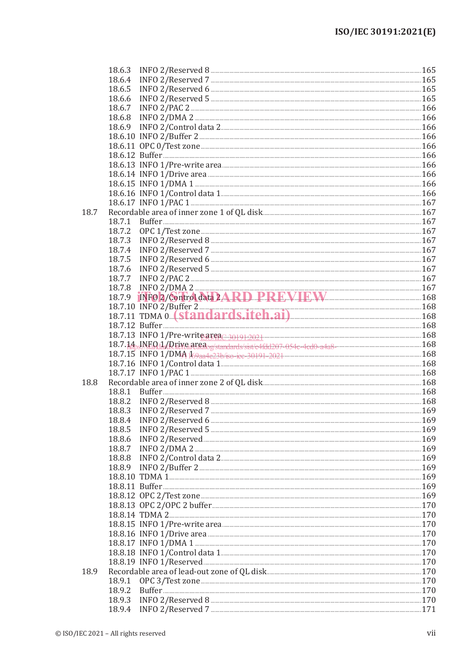|      | 18.6.3 |                                                                                                                                                                                                                                |  |
|------|--------|--------------------------------------------------------------------------------------------------------------------------------------------------------------------------------------------------------------------------------|--|
|      | 18.6.4 |                                                                                                                                                                                                                                |  |
|      | 18.6.5 | INFO 2/Reserved 6 [2012] [2013] [2013] [2013] [2013] [2013] [2014] [2014] [2014] [2014] [2014] [2014] [2014] [3014] [2014] [2014] [2014] [2014] [2014] [2014] [2014] [2014] [2014] [2014] [2014] [2014] [2014] [2014] [2014] [ |  |
|      | 18.6.6 |                                                                                                                                                                                                                                |  |
|      | 18.6.7 |                                                                                                                                                                                                                                |  |
|      | 18.6.8 |                                                                                                                                                                                                                                |  |
|      |        |                                                                                                                                                                                                                                |  |
|      |        |                                                                                                                                                                                                                                |  |
|      |        |                                                                                                                                                                                                                                |  |
|      |        |                                                                                                                                                                                                                                |  |
|      |        |                                                                                                                                                                                                                                |  |
|      |        |                                                                                                                                                                                                                                |  |
|      |        |                                                                                                                                                                                                                                |  |
|      |        |                                                                                                                                                                                                                                |  |
|      |        |                                                                                                                                                                                                                                |  |
|      |        |                                                                                                                                                                                                                                |  |
| 18.7 |        |                                                                                                                                                                                                                                |  |
|      | 18.7.1 |                                                                                                                                                                                                                                |  |
|      | 18.7.2 |                                                                                                                                                                                                                                |  |
|      | 18.7.3 |                                                                                                                                                                                                                                |  |
|      | 18.7.4 |                                                                                                                                                                                                                                |  |
|      | 18.7.5 |                                                                                                                                                                                                                                |  |
|      | 18.7.6 |                                                                                                                                                                                                                                |  |
|      | 18.7.7 |                                                                                                                                                                                                                                |  |
|      | 18.7.8 |                                                                                                                                                                                                                                |  |
|      | 18.7.9 | INFO 2/DMA 2 167                                                                                                                                                                                                               |  |
|      |        |                                                                                                                                                                                                                                |  |
|      |        | 18.7.10 INFO 2/Buffer 2 168                                                                                                                                                                                                    |  |
|      |        |                                                                                                                                                                                                                                |  |
|      |        |                                                                                                                                                                                                                                |  |
|      |        |                                                                                                                                                                                                                                |  |
|      |        |                                                                                                                                                                                                                                |  |
|      |        |                                                                                                                                                                                                                                |  |
|      |        |                                                                                                                                                                                                                                |  |
|      |        |                                                                                                                                                                                                                                |  |
| 18.8 |        |                                                                                                                                                                                                                                |  |
|      | 18.8.1 |                                                                                                                                                                                                                                |  |
|      | 18.8.2 |                                                                                                                                                                                                                                |  |
|      |        | 18.8.3 INFO 2/Reserved 7                                                                                                                                                                                                       |  |
|      |        |                                                                                                                                                                                                                                |  |
|      | 18.8.5 |                                                                                                                                                                                                                                |  |
|      | 18.8.6 |                                                                                                                                                                                                                                |  |
|      | 18.8.7 |                                                                                                                                                                                                                                |  |
|      | 18.8.8 |                                                                                                                                                                                                                                |  |
|      | 18.8.9 |                                                                                                                                                                                                                                |  |
|      |        |                                                                                                                                                                                                                                |  |
|      |        |                                                                                                                                                                                                                                |  |
|      |        |                                                                                                                                                                                                                                |  |
|      |        |                                                                                                                                                                                                                                |  |
|      |        |                                                                                                                                                                                                                                |  |
|      |        |                                                                                                                                                                                                                                |  |
|      |        |                                                                                                                                                                                                                                |  |
|      |        |                                                                                                                                                                                                                                |  |
|      |        |                                                                                                                                                                                                                                |  |
|      |        |                                                                                                                                                                                                                                |  |
|      |        |                                                                                                                                                                                                                                |  |
| 18.9 |        |                                                                                                                                                                                                                                |  |
|      | 18.9.1 |                                                                                                                                                                                                                                |  |
|      | 18.9.2 |                                                                                                                                                                                                                                |  |
|      | 18.9.3 |                                                                                                                                                                                                                                |  |
|      |        |                                                                                                                                                                                                                                |  |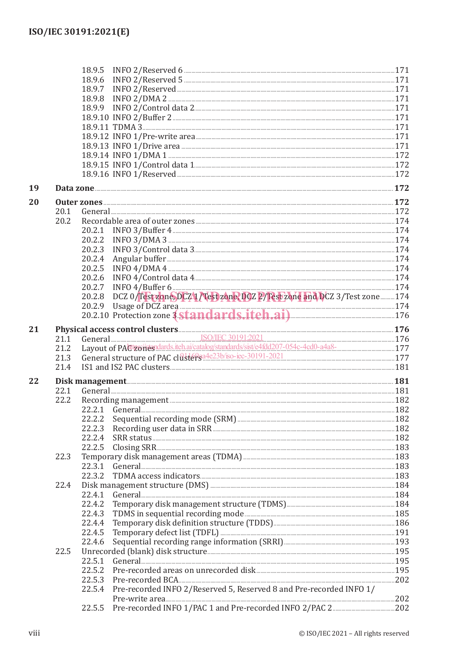|    |      | 18.9.5                                                                                                                                                                                                                                         |  |
|----|------|------------------------------------------------------------------------------------------------------------------------------------------------------------------------------------------------------------------------------------------------|--|
|    |      | 18.9.6                                                                                                                                                                                                                                         |  |
|    |      | 18.9.7                                                                                                                                                                                                                                         |  |
|    |      | 18.9.8                                                                                                                                                                                                                                         |  |
|    |      | 18.9.9                                                                                                                                                                                                                                         |  |
|    |      |                                                                                                                                                                                                                                                |  |
|    |      |                                                                                                                                                                                                                                                |  |
|    |      |                                                                                                                                                                                                                                                |  |
|    |      |                                                                                                                                                                                                                                                |  |
|    |      |                                                                                                                                                                                                                                                |  |
|    |      |                                                                                                                                                                                                                                                |  |
|    |      |                                                                                                                                                                                                                                                |  |
| 19 |      | Data zone <b>172</b>                                                                                                                                                                                                                           |  |
| 20 |      |                                                                                                                                                                                                                                                |  |
|    | 20.1 |                                                                                                                                                                                                                                                |  |
|    | 20.2 |                                                                                                                                                                                                                                                |  |
|    |      | 20.2.1                                                                                                                                                                                                                                         |  |
|    |      | 20.2.2                                                                                                                                                                                                                                         |  |
|    |      | 20.2.3                                                                                                                                                                                                                                         |  |
|    |      | Angular buffer <b>contract of the contract of the contract of the contract of the contract of the contract of the contract of the contract of the contract of the contract of the contract of the contract of the contract of th</b><br>20.2.4 |  |
|    |      | 20.2.5                                                                                                                                                                                                                                         |  |
|    |      | 20.2.6                                                                                                                                                                                                                                         |  |
|    |      | 20.2.7                                                                                                                                                                                                                                         |  |
|    |      | DCZ 0/Test zone, DCZ 1/Test zone, DCZ 2/Test zone and DCZ 3/Test zone  174<br>20.2.8                                                                                                                                                           |  |
|    |      |                                                                                                                                                                                                                                                |  |
|    |      | 20.2.9 Usage of DCZ area 174<br>20.2.10 Protection zone 3 Standards.itch.ai) 176                                                                                                                                                               |  |
|    |      |                                                                                                                                                                                                                                                |  |
| 21 |      | Physical access control clusters (176<br>21.1 General SO/IEC 30191:2021<br>21.2 Layout of PACtrolleandards.iteh.ai/catalog/standards/sist/e4fdd207-054c-4cd0-a4a8- 177<br>21.2 177                                                             |  |
|    |      |                                                                                                                                                                                                                                                |  |
|    |      |                                                                                                                                                                                                                                                |  |
|    | 21.3 | General structure of PAC clusters and engage of the contract of PAC clusters and the contract of PAC clusters and the contract of PAC clusters and the contract of PAC clusters and the contract of PAC clusters and the contr                 |  |
|    | 21.4 |                                                                                                                                                                                                                                                |  |
| 22 |      |                                                                                                                                                                                                                                                |  |
|    | 22.1 | General 281 181                                                                                                                                                                                                                                |  |
|    | 22.2 |                                                                                                                                                                                                                                                |  |
|    |      |                                                                                                                                                                                                                                                |  |
|    |      | 22.2.2                                                                                                                                                                                                                                         |  |
|    |      | 22.2.3                                                                                                                                                                                                                                         |  |
|    |      | 22.2.4                                                                                                                                                                                                                                         |  |
|    |      | 22.2.5                                                                                                                                                                                                                                         |  |
|    | 22.3 |                                                                                                                                                                                                                                                |  |
|    |      | 22.3.1<br>General 233                                                                                                                                                                                                                          |  |
|    |      | 22.3.2                                                                                                                                                                                                                                         |  |
|    | 22.4 |                                                                                                                                                                                                                                                |  |
|    |      | 22.4.1                                                                                                                                                                                                                                         |  |
|    |      | 22.4.2                                                                                                                                                                                                                                         |  |
|    |      | 22.4.3                                                                                                                                                                                                                                         |  |
|    |      | 22.4.4                                                                                                                                                                                                                                         |  |
|    |      | 22.4.5                                                                                                                                                                                                                                         |  |
|    |      | 22.4.6                                                                                                                                                                                                                                         |  |
|    | 22.5 |                                                                                                                                                                                                                                                |  |
|    |      | 22.5.1                                                                                                                                                                                                                                         |  |
|    |      | 22.5.2                                                                                                                                                                                                                                         |  |
|    |      | 22.5.3                                                                                                                                                                                                                                         |  |
|    |      | Pre-recorded INFO 2/Reserved 5, Reserved 8 and Pre-recorded INFO 1/<br>22.5.4                                                                                                                                                                  |  |
|    |      |                                                                                                                                                                                                                                                |  |
|    |      | 22.5.5                                                                                                                                                                                                                                         |  |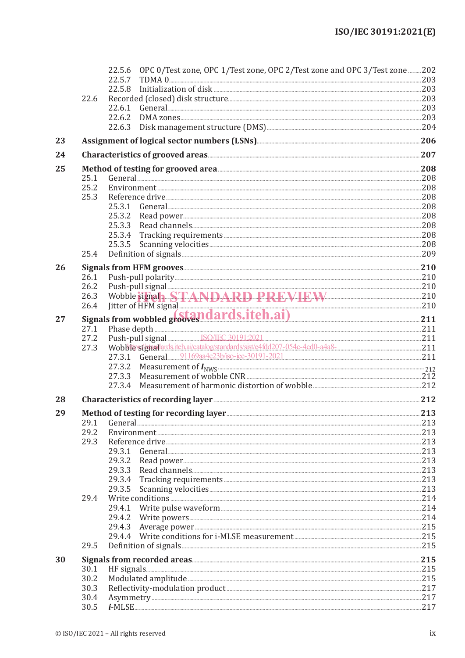|    |      | 22.5.6 OPC 0/Test zone, OPC 1/Test zone, OPC 2/Test zone and OPC 3/Test zone 202                                                                                                                                                    |      |
|----|------|-------------------------------------------------------------------------------------------------------------------------------------------------------------------------------------------------------------------------------------|------|
|    |      | 22.5.7                                                                                                                                                                                                                              |      |
|    |      | 22.5.8                                                                                                                                                                                                                              |      |
|    | 22.6 |                                                                                                                                                                                                                                     |      |
|    |      | 22.6.1                                                                                                                                                                                                                              |      |
|    |      | 22.6.2                                                                                                                                                                                                                              |      |
|    |      | 22.6.3                                                                                                                                                                                                                              |      |
| 23 |      |                                                                                                                                                                                                                                     |      |
| 24 |      |                                                                                                                                                                                                                                     |      |
| 25 | 25.1 | Method of testing for grooved area<br>General 208 208                                                                                                                                                                               |      |
|    | 25.2 |                                                                                                                                                                                                                                     |      |
|    | 25.3 |                                                                                                                                                                                                                                     |      |
|    |      |                                                                                                                                                                                                                                     |      |
|    |      | 25.3.2                                                                                                                                                                                                                              |      |
|    |      | 25.3.3                                                                                                                                                                                                                              |      |
|    |      | 25.3.4                                                                                                                                                                                                                              |      |
|    |      | 25.3.5                                                                                                                                                                                                                              |      |
|    | 25.4 |                                                                                                                                                                                                                                     |      |
| 26 |      |                                                                                                                                                                                                                                     |      |
|    | 26.1 |                                                                                                                                                                                                                                     |      |
|    | 26.2 |                                                                                                                                                                                                                                     |      |
|    | 26.3 | Push-pull signal<br>Wobble signala STANDARD PREVIEW 210                                                                                                                                                                             |      |
|    |      | 26.4 Jitter of HFM signal 210 and 21 and 21 and 210 and 210 signals from wobbled grows. 211                                                                                                                                         |      |
| 27 |      |                                                                                                                                                                                                                                     |      |
|    | 27.1 | Phase depth 211<br>Push-pull signal SO/IEC 301912021<br>Wobble signal and the aircration state of the aircration of the catalogic contract of the catalogic contract contract contract contract contract contract contract contract |      |
|    | 27.2 |                                                                                                                                                                                                                                     |      |
|    | 27.3 |                                                                                                                                                                                                                                     |      |
|    |      | 27.3.1 General 91169aa4e23b/iso-iec-30191-2021 2021 2021 2021 211                                                                                                                                                                   |      |
|    |      | 27.3.2                                                                                                                                                                                                                              |      |
|    |      | 27.3.3                                                                                                                                                                                                                              |      |
|    |      | 27.3.4                                                                                                                                                                                                                              |      |
| 28 |      | Characteristics of recording layer <b>Executive Service 212</b>                                                                                                                                                                     |      |
| 29 |      |                                                                                                                                                                                                                                     |      |
|    | 29.1 |                                                                                                                                                                                                                                     | .213 |
|    | 29.2 |                                                                                                                                                                                                                                     |      |
|    | 29.3 |                                                                                                                                                                                                                                     |      |
|    |      | 29.3.1<br>29.3.2                                                                                                                                                                                                                    |      |
|    |      | 29.3.3                                                                                                                                                                                                                              |      |
|    |      | 29.3.4                                                                                                                                                                                                                              |      |
|    |      | 29.3.5                                                                                                                                                                                                                              |      |
|    | 29.4 |                                                                                                                                                                                                                                     |      |
|    |      | 29.4.1                                                                                                                                                                                                                              |      |
|    |      | 29.4.2                                                                                                                                                                                                                              |      |
|    |      | 29.4.3                                                                                                                                                                                                                              |      |
|    |      | 29.4.4                                                                                                                                                                                                                              |      |
|    | 29.5 |                                                                                                                                                                                                                                     |      |
| 30 |      |                                                                                                                                                                                                                                     |      |
|    | 30.1 | HF signals. 215                                                                                                                                                                                                                     |      |
|    | 30.2 |                                                                                                                                                                                                                                     |      |
|    | 30.3 |                                                                                                                                                                                                                                     |      |
|    | 30.4 |                                                                                                                                                                                                                                     |      |
|    | 30.5 |                                                                                                                                                                                                                                     |      |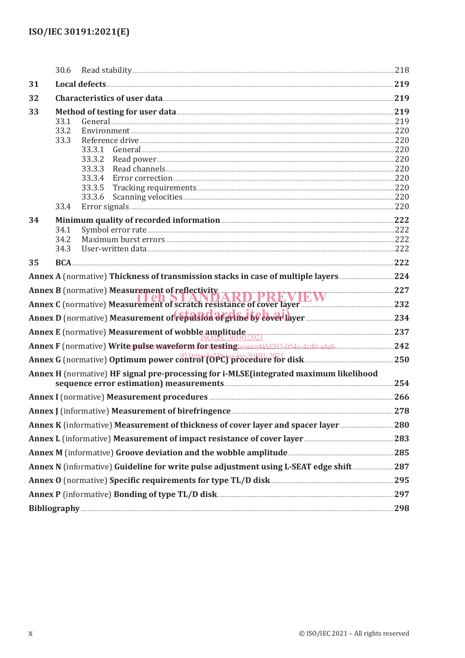|                                                                                                 | 30.6                         |                                                                                                                                                                                                            |  |
|-------------------------------------------------------------------------------------------------|------------------------------|------------------------------------------------------------------------------------------------------------------------------------------------------------------------------------------------------------|--|
| 31                                                                                              |                              |                                                                                                                                                                                                            |  |
| 32                                                                                              |                              | Characteristics of user data 219                                                                                                                                                                           |  |
| 33                                                                                              | 33.1<br>33.2<br>33.3         | Method of testing for user data <b>Method</b> of testing for user data <b>Method</b> of testing for user data <b>Method</b><br>General 219 219<br>33.3.1<br>33.3.2<br>33.3.3<br>33.3.4<br>33.3.5<br>33.3.6 |  |
| 34                                                                                              | 33.4<br>34.1<br>34.2<br>34.3 |                                                                                                                                                                                                            |  |
| 35                                                                                              |                              |                                                                                                                                                                                                            |  |
|                                                                                                 |                              |                                                                                                                                                                                                            |  |
|                                                                                                 |                              | Annex B (normative) Measurement of reflectivity<br>Annex C (normative) Measurement of scratch resistance of cover layer                                                                                    |  |
|                                                                                                 |                              |                                                                                                                                                                                                            |  |
|                                                                                                 |                              |                                                                                                                                                                                                            |  |
|                                                                                                 |                              | Annex E (normative) Measurement of wobble amplitude<br>SO/JEC 30191:2021                                                                                                                                   |  |
|                                                                                                 |                              |                                                                                                                                                                                                            |  |
|                                                                                                 |                              |                                                                                                                                                                                                            |  |
|                                                                                                 |                              | Annex H (normative) HF signal pre-processing for i-MLSE(integrated maximum likelihood<br>sequence error estimation) measurements <b>Example 254</b>                                                        |  |
|                                                                                                 |                              | Annex I (normative) Measurement procedures <b>Engineeral and Separate 266</b>                                                                                                                              |  |
|                                                                                                 |                              |                                                                                                                                                                                                            |  |
|                                                                                                 |                              |                                                                                                                                                                                                            |  |
|                                                                                                 |                              | Annex L (informative) Measurement of impact resistance of cover layer <b>Engineer 283</b>                                                                                                                  |  |
|                                                                                                 |                              | Annex M (informative) Groove deviation and the wobble amplitude <b>measure and the set of the 285</b>                                                                                                      |  |
|                                                                                                 |                              | Annex N (informative) Guideline for write pulse adjustment using L-SEAT edge shift287                                                                                                                      |  |
| Annex O (normative) Specific requirements for type TL/D disk <b>Manual Club and Section</b> 295 |                              |                                                                                                                                                                                                            |  |
| Annex P (informative) Bonding of type TL/D disk <b>Manufacture 2018</b> 297                     |                              |                                                                                                                                                                                                            |  |
|                                                                                                 |                              |                                                                                                                                                                                                            |  |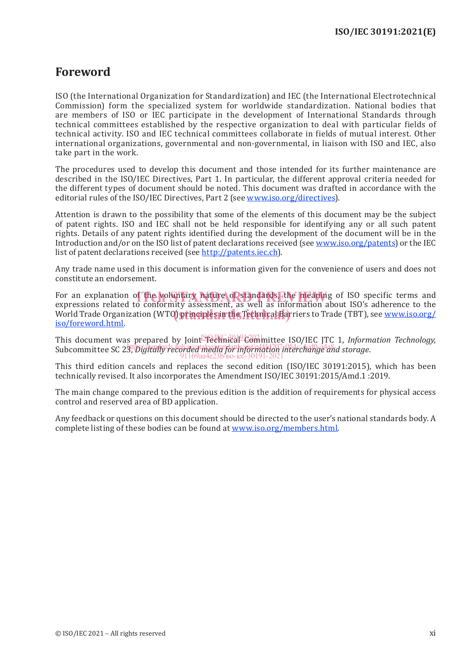### **Foreword**

ISO (the International Organization for Standardization) and IEC (the International Electrotechnical Commission) form the specialized system for worldwide standardization. National bodies that are members of ISO or IEC participate in the development of International Standards through technical committees established by the respective organization to deal with particular fields of technical activity. ISO and IEC technical committees collaborate in fields of mutual interest. Other international organizations, governmental and non-governmental, in liaison with ISO and IEC, also take part in the work.

The procedures used to develop this document and those intended for its further maintenance are described in the ISO/IEC Directives, Part 1. In particular, the different approval criteria needed for the different types of document should be noted. This document was drafted in accordance with the editorial rules of the ISO/IEC Directives, Part 2 (see www.iso.org/directives).

Attention is drawn to the possibility that some of the elements of this document may be the subject of patent rights. ISO and IEC shall not be held responsible for identifying any or all such patent rights. Details of any patent rights identified during the development of the document will be in the Introduction and/or on the ISO list of patent declarations received (see www.iso.org/patents) or the IEC list of patent declarations received (see http://patents.iec.ch).

Any trade name used in this document is information given for the convenience of users and does not constitute an endorsement.

For an explanation of the voluntary nature of standards, the meaning of ISO specific terms and<br>expressions related to conformity assessment, as well as information about ISO's adherence to the expressions related to conformity assessment, as well as information about ISO's adherence to the enpressions related to comormity discussioning to well as information assat loss admirante to the<br>World Trade Organization (WTO) principles in the Technical Barriers to Trade (TBT), see www.iso.org/ iso/foreword.html.

This document was prepared by Joint Section 2002 Committee ISO/IEC JTC 1, *Information Technology*, subcommittee SC 23, *Digitally recorded media for information interchange and storage*. 91169aa4e23b/iso-iec-30191-2021

This third edition cancels and replaces the second edition (ISO/IEC 30191:2015), which has been technically revised. It also incorporates the Amendment ISO/IEC 30191:2015/Amd.1 :2019.

The main change compared to the previous edition is the addition of requirements for physical access control and reserved area of BD application.

Any feedback or questions on this document should be directed to the user's national standards body. A complete listing of these bodies can be found at www.iso.org/members.html.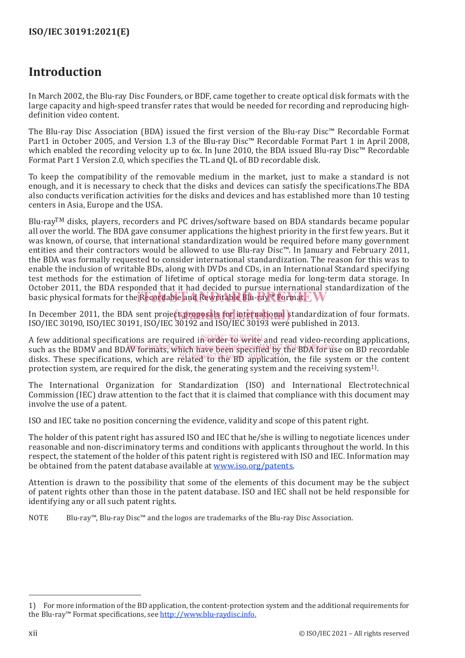## **Introduction**

In March 2002, the Blu-ray Disc Founders, or BDF, came together to create optical disk formats with the large capacity and high-speed transfer rates that would be needed for recording and reproducing highdefinition video content.

The Blu-ray Disc Association (BDA) issued the first version of the Blu-ray Disc™ Recordable Format Part1 in October 2005, and Version 1.3 of the Blu-ray Disc™ Recordable Format Part 1 in April 2008, which enabled the recording velocity up to 6x. In June 2010, the BDA issued Blu-ray Disc™ Recordable Format Part 1 Version 2.0, which specifies the TL and QL of BD recordable disk.

To keep the compatibility of the removable medium in the market, just to make a standard is not enough, and it is necessary to check that the disks and devices can satisfy the specifications.The BDA also conducts verification activities for the disks and devices and has established more than 10 testing centers in Asia, Europe and the USA.

Blu-ray<sup>TM</sup> disks, players, recorders and PC drives/software based on BDA standards became popular all over the world. The BDA gave consumer applications the highest priority in the first few years. But it was known, of course, that international standardization would be required before many government entities and their contractors would be allowed to use Blu-ray Disc™. In January and February 2011, the BDA was formally requested to consider international standardization. The reason for this was to enable the inclusion of writable BDs, along with DVDs and CDs, in an International Standard specifying test methods for the estimation of lifetime of optical storage media for long-term data storage. In October 2011, the BDA responded that it had decided to pursue international standardization of the basic physical formats for the Recordable and Rewritable Blu-ray™ Format. I

In December 2011, the BDA sent project proposals for international standardization of four formats.<br>ISO (IEC 20100, ISO (IEC 20101, ISO (IEC 20102 and ISO (IEC 20102 were published in 2012) ISO/IEC 30190, ISO/IEC 30191, ISO/IEC 30192 and ISO/IEC 30193 were published in 2013.

A few additional specifications are required in  $\frac{1}{2}$  order to write and read video-recording applications, such as the BDMV and BDAV formats, which have been specified by the BDA for use on BD recordable disks. These specifications, which are related to the BD application, the file system or the content protection system, are required for the disk, the generating system and the receiving system1).

The International Organization for Standardization (ISO) and International Electrotechnical Commission (IEC) draw attention to the fact that it is claimed that compliance with this document may involve the use of a patent.

ISO and IEC take no position concerning the evidence, validity and scope of this patent right.

The holder of this patent right has assured ISO and IEC that he/she is willing to negotiate licences under reasonable and non-discriminatory terms and conditions with applicants throughout the world. In this respect, the statement of the holder of this patent right is registered with ISO and IEC. Information may be obtained from the patent database available at www.iso.org/patents.

Attention is drawn to the possibility that some of the elements of this document may be the subject of patent rights other than those in the patent database. ISO and IEC shall not be held responsible for identifying any or all such patent rights.

NOTE Blu-ray™, Blu-ray Disc™ and the logos are trademarks of the Blu-ray Disc Association.

<sup>1)</sup> For more information of the BD application, the content-protection system and the additional requirements for the Blu-ray™ Format specifications, see http://www.blu-raydisc.info.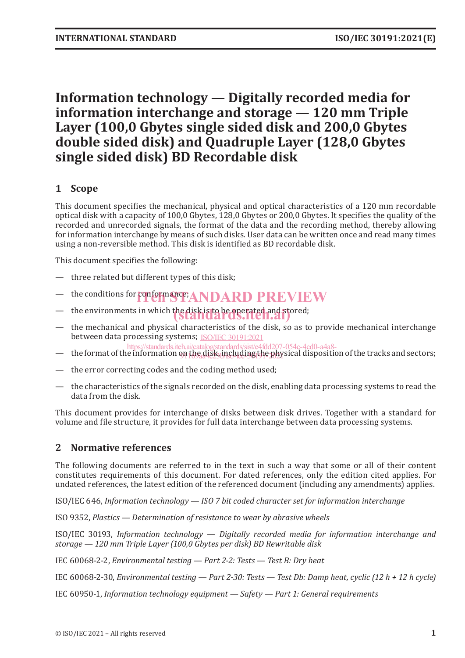## **Information technology — Digitally recorded media for information interchange and storage — 120 mm Triple Layer (100,0 Gbytes single sided disk and 200,0 Gbytes double sided disk) and Quadruple Layer (128,0 Gbytes single sided disk) BD Recordable disk**

#### **1 Scope**

This document specifies the mechanical, physical and optical characteristics of a 120 mm recordable optical disk with a capacity of 100,0 Gbytes, 128,0 Gbytes or 200,0 Gbytes. It specifies the quality of the recorded and unrecorded signals, the format of the data and the recording method, thereby allowing for information interchange by means of such disks. User data can be written once and read many times using a non-reversible method. This disk is identified as BD recordable disk.

This document specifies the following:

- three related but different types of this disk;
- the conditions for conformance; ANDARD PREVIEW
- the environments in which the disk is to be operated and stored;
- the mechanical and physical characteristics of the disk, so as to provide mechanical interchange between data processing systems; ISO/IEC 30191:2021
- the format of the information on the disk, including the physical disposition of the tracks and sectors; https://standards.iteh.ai/catalog/standards/sist/e4fdd207-054c-4cd0-a4a8-
- the error correcting codes and the coding method used;
- the characteristics of the signals recorded on the disk, enabling data processing systems to read the data from the disk.

This document provides for interchange of disks between disk drives. Together with a standard for volume and file structure, it provides for full data interchange between data processing systems.

#### **2 Normative references**

The following documents are referred to in the text in such a way that some or all of their content constitutes requirements of this document. For dated references, only the edition cited applies. For undated references, the latest edition of the referenced document (including any amendments) applies.

ISO/IEC 646, *Information technology — ISO 7 bit coded character set for information interchange*

ISO 9352, *Plastics — Determination of resistance to wear by abrasive wheels*

ISO/IEC 30193, *Information technology — Digitally recorded media for information interchange and storage — 120 mm Triple Layer (100,0 Gbytes per disk) BD Rewritable disk*

IEC 60068-2-2, *Environmental testing — Part 2-2: Tests — Test B: Dry heat*

IEC 60068-2-30, *Environmental testing — Part 2-30: Tests — Test Db: Damp heat, cyclic (12 h + 12 h cycle)*

IEC 60950-1, *Information technology equipment — Safety — Part 1: General requirements*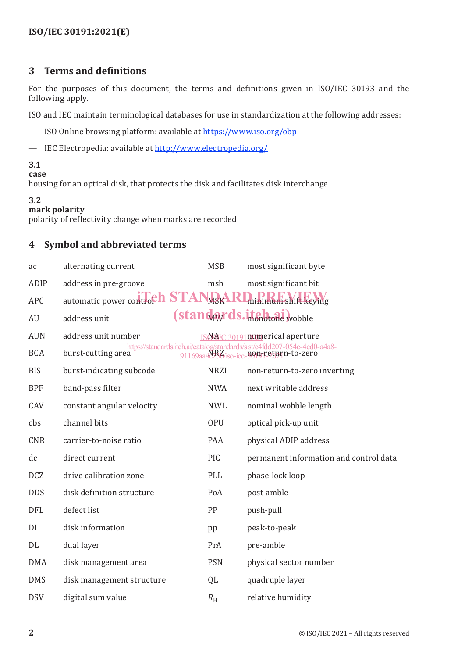#### **ISO/IEC 30191:2021(E)**

#### **3 Terms and definitions**

For the purposes of this document, the terms and definitions given in ISO/IEC 30193 and the following apply.

ISO and IEC maintain terminological databases for use in standardization at the following addresses:

- ISO Online browsing platform: available at https://www.iso.org/obp
- IEC Electropedia: available at http://www.electropedia.org/

#### **3.1**

#### **case**

housing for an optical disk, that protects the disk and facilitates disk interchange

#### **3.2**

#### **mark polarity**

polarity of reflectivity change when marks are recorded

#### **4 Symbol and abbreviated terms**

| ac         | alternating current          | <b>MSB</b>  | most significant byte                                                                                               |
|------------|------------------------------|-------------|---------------------------------------------------------------------------------------------------------------------|
| ADIP       | address in pre-groove        | msb         | most significant bit                                                                                                |
| <b>APC</b> | automatic power control STAN | MSKA        | <b>RI</b> minimum shift keying                                                                                      |
| AU         | address unit                 |             | (standards.itchbone wobble                                                                                          |
| <b>AUN</b> | address unit number          |             | ISNAEC 30191numerical aperture                                                                                      |
| <b>BCA</b> | burst-cutting area           |             | https://standards.iteh.ai/catalog/standards/sist/e4fdd207-054c-4cd0-a4a8-<br>91169aa42BZ/jso-iec-non-return-to-zero |
| <b>BIS</b> | burst-indicating subcode     | <b>NRZI</b> | non-return-to-zero inverting                                                                                        |
| <b>BPF</b> | band-pass filter             | <b>NWA</b>  | next writable address                                                                                               |
| CAV        | constant angular velocity    | <b>NWL</b>  | nominal wobble length                                                                                               |
| cbs        | channel bits                 | <b>OPU</b>  | optical pick-up unit                                                                                                |
| <b>CNR</b> | carrier-to-noise ratio       | PAA         | physical ADIP address                                                                                               |
| dc         | direct current               | PIC         | permanent information and control data                                                                              |
| <b>DCZ</b> | drive calibration zone       | PLL         | phase-lock loop                                                                                                     |
| <b>DDS</b> | disk definition structure    | PoA         | post-amble                                                                                                          |
| <b>DFL</b> | defect list                  | PP          | push-pull                                                                                                           |
| DI         | disk information             | pp          | peak-to-peak                                                                                                        |
| DL         | dual layer                   | PrA         | pre-amble                                                                                                           |
| <b>DMA</b> | disk management area         | <b>PSN</b>  | physical sector number                                                                                              |
| <b>DMS</b> | disk management structure    | QL          | quadruple layer                                                                                                     |
| <b>DSV</b> | digital sum value            | $R_{\rm H}$ | relative humidity                                                                                                   |